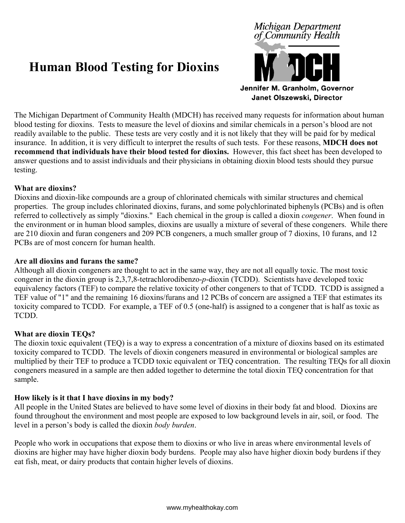# **Human Blood Testing for Dioxins**



The Michigan Department of Community Health (MDCH) has received many requests for information about human blood testing for dioxins. Tests to measure the level of dioxins and similar chemicals in a person's blood are not readily available to the public. These tests are very costly and it is not likely that they will be paid for by medical insurance. In addition, it is very difficult to interpret the results of such tests. For these reasons, **MDCH does not recommend that individuals have their blood tested for dioxins.** However, this fact sheet has been developed to answer questions and to assist individuals and their physicians in obtaining dioxin blood tests should they pursue testing.

## **What are dioxins?**

Dioxins and dioxin-like compounds are a group of chlorinated chemicals with similar structures and chemical properties. The group includes chlorinated dioxins, furans, and some polychlorinated biphenyls (PCBs) and is often referred to collectively as simply "dioxins." Each chemical in the group is called a dioxin *congener*. When found in the environment or in human blood samples, dioxins are usually a mixture of several of these congeners. While there are 210 dioxin and furan congeners and 209 PCB congeners, a much smaller group of 7 dioxins, 10 furans, and 12 PCBs are of most concern for human health.

## **Are all dioxins and furans the same?**

Although all dioxin congeners are thought to act in the same way, they are not all equally toxic. The most toxic congener in the dioxin group is 2,3,7,8-tetrachlorodibenzo-*p*-dioxin (TCDD). Scientists have developed toxic equivalency factors (TEF) to compare the relative toxicity of other congeners to that of TCDD. TCDD is assigned a TEF value of "1" and the remaining 16 dioxins/furans and 12 PCBs of concern are assigned a TEF that estimates its toxicity compared to TCDD. For example, a TEF of 0.5 (one-half) is assigned to a congener that is half as toxic as TCDD.

## **What are dioxin TEQs?**

The dioxin toxic equivalent (TEQ) is a way to express a concentration of a mixture of dioxins based on its estimated toxicity compared to TCDD. The levels of dioxin congeners measured in environmental or biological samples are multiplied by their TEF to produce a TCDD toxic equivalent or TEQ concentration. The resulting TEQs for all dioxin congeners measured in a sample are then added together to determine the total dioxin TEQ concentration for that sample.

## **How likely is it that I have dioxins in my body?**

All people in the United States are believed to have some level of dioxins in their body fat and blood. Dioxins are found throughout the environment and most people are exposed to low background levels in air, soil, or food. The level in a person's body is called the dioxin *body burden*.

People who work in occupations that expose them to dioxins or who live in areas where environmental levels of dioxins are higher may have higher dioxin body burdens. People may also have higher dioxin body burdens if they eat fish, meat, or dairy products that contain higher levels of dioxins.